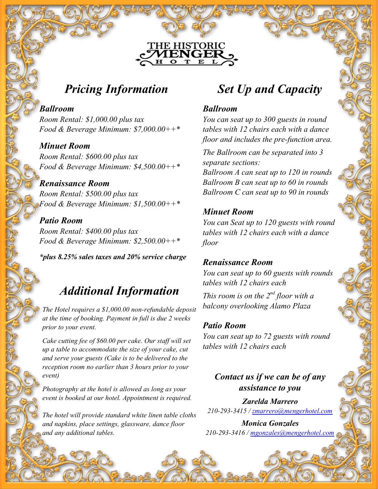# **Pricing Information**

### **Ballroom**

Room Rental: \$1,000.00 plus tax Food & Beverage Minimum:  $$7,000.00++*$ 

### **Minuet Room**

Room Rental: \$600.00 plus tax Food & Beverage Minimum: \$4,500.00++\*

# **Renaissance Room**

Room Rental: \$500.00 plus tax Food & Beverage Minimum:  $$1,500.00++*$ 

### **Patio Room**

Room Rental: \$400.00 plus tax Food & Beverage Minimum: \$2,500.00++\*

**\*plus 8.25% sales taxes and 20% service charge**

# **Additional Information**

The Hotel requires a \$1,000.00 non-refundable deposit at the time of booking. Payment in full is due 2 weeks prior to your event.

Cake cutting fee of \$60.00 per cake. Our staff will set up a table to accommodate the size of your cake, cut and serve your guests (Cake is to be delivered to the reception room no earlier than 3 hours prior to your event)

Photography at the hotel is allowed as long as your event is booked at our hotel. Appointment is required.

The hotel will provide standard white linen table cloths and napkins, place settings, glassware, dance floor and any additional tables.

# **Set Up and Capacity**

### **Ballroom**

**THE HISTORIC** ENGEI T

> You can seat up to 300 guests in round tables with 12 chairs each with a dance floor and includes the pre-function area.

The Ballroom can be separated into 3 separate sections:

Ballroom A can seat up to 120 in rounds Ballroom B can seat up to 60 in rounds Ballroom C can seat up to 90 in rounds

### **Minuet Room**

You can Seat up to 120 guests with round tables with 12 chairs each with a dance floor

### **Renaissance Room**

You can seat up to 60 guests with rounds tables with 12 chairs each

This room is on the  $2^{nd}$  floor with a balcony overlooking Alamo Plaza

#### **Patio Room**

You can seat up to 72 guests with round tables with 12 chairs each

### **Contact us if we can be of any assistance to you**

**Zarelda Marrero** 210-293-3415 / zmarrero@mengerhotel.com

**Monica Gonzales** 210-293-3416 / mgonzales@mengerhotel.com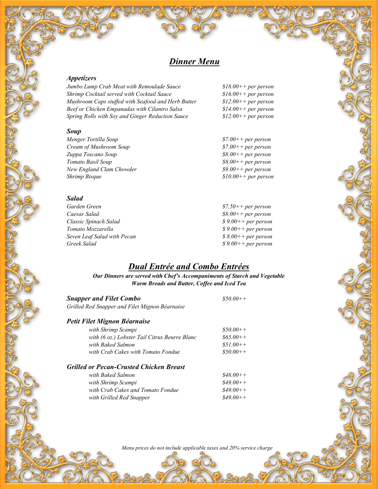### **Dinner Menu**

#### **Appetizers**

Jumbo Lump Crab Meat with Remoulade Sauce \$18.00++ per person Shrimp Cocktail served with Cocktail Sauce \$16.00++ per person<br>Mushroom Caps stuffed with Seafood and Herb Butter \$12.00++ per person Mushroom Caps stuffed with Seafood and Herb Butter  $$12.00++$  per person<br>Beef or Chicken Empanadas with Cilantro Salsa  $$14.00++$  per person Beef or Chicken Empanadas with Cilantro Salsa  $$14.00++$  per person<br>Spring Rolls with Soy and Ginger Reduction Sauce  $$12.00++$  per person Spring Rolls with Soy and Ginger Reduction Sauce

#### **Soup**

Menger Tortilla Soup<br>Cream of Mushroom Soup<br>\$7.00++ per person<br>\$7.00++ per person Cream of Mushroom Soup \$7.00++ per person Zuppa Toscano Soup Tomato Basil Soup<br>New England Clam Chowder<br>
\$8.00++ per person<br>
\$9.00++ per person New England Clam Chowder<br>Shrimp Bisque

# **Salad**<br>Garden Green

Garden Green  $$7.50++per person$ <br>Caesar Salad  $$8.00++per person$ Classic Spinach Salad \$ 9.00++ per person Seven Leaf Salad with Pecan<br>Greek Salad with Pecan several parameters of the second section of the Society of the Society of the Society o

 $$10.00++$  per person

 $$8.00++ per person$ <br> $$9.00++ per person$  $$9.00++ per person$  $$9.00++ per person$ 

### **Dual Entrée and Combo Entrées**

**Our Dinners are served with Chef's Accompaniments of Starch and Vegetable Warm Breads and Butter, Coffee and Iced Tea**

| <b>Snapper and Filet Combo</b>                 | $$50.00++$ |
|------------------------------------------------|------------|
| Grilled Red Snapper and Filet Mignon Béarnaise |            |

### **Petit Filet Mignon Béarnaise**

| with Shrimp Scampi                            | $$50.00++$ |
|-----------------------------------------------|------------|
| with (6 oz.) Lobster Tail Citrus Beurre Blanc | $$65.00++$ |
| with Baked Salmon                             | $$51.00++$ |
| with Crab Cakes with Tomato Fondue            | $$50.00++$ |
|                                               |            |

#### **Grilled or Pecan-Crusted Chicken Breast**

|           | with Baked Salmon                 | $$48.00++$ |
|-----------|-----------------------------------|------------|
| $\varphi$ | with Shrimp Scampi                | $$49.00++$ |
|           | with Crab Cakes and Tomato Fondue | $$49.00++$ |
|           | with Grilled Red Snapper          | $$49.00++$ |
|           |                                   |            |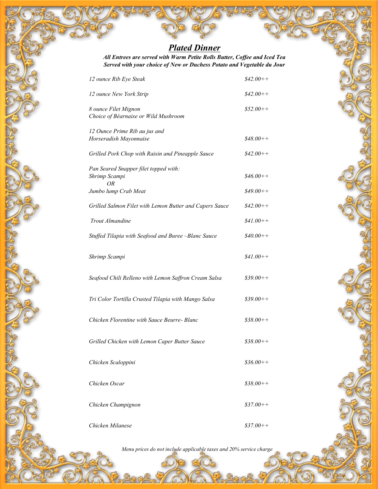## **Plated Dinner**

**All Entrees are served with Warm Petite Rolls Butter, Coffee and Iced Tea Served with your choice of New or Duchess Potato and Vegetable du Jour**

| 12 ounce Rib Eye Steak                                                               | $$42.00++$               |
|--------------------------------------------------------------------------------------|--------------------------|
| 12 ounce New York Strip                                                              | $$42.00++$               |
| 8 ounce Filet Mignon<br>Choice of Béarnaise or Wild Mushroom                         | $$52.00++$               |
| 12 Ounce Prime Rib au jus and<br>Horseradish Mayonnaise                              | $$48.00++$               |
| Grilled Pork Chop with Raisin and Pineapple Sauce                                    | $$42.00++$               |
| Pan Seared Snapper filet topped with:<br>Shrimp Scampi<br>ΟR<br>Jumbo lump Crab Meat | $$46.00++$<br>$$49.00++$ |
|                                                                                      |                          |
| Grilled Salmon Filet with Lemon Butter and Capers Sauce                              | $$42.00++$               |
| Trout Almandine                                                                      | $$41.00++$               |
| Stuffed Tilapia with Seafood and Buree -Blanc Sauce                                  | $$40.00++$               |
| Shrimp Scampi                                                                        | $$41.00++$               |
| Seafood Chili Relleno with Lemon Saffron Cream Salsa                                 | $$39.00++$               |
| Tri Color Tortilla Crusted Tilapia with Mango Salsa                                  | $$39.00++$               |
| Chicken Florentine with Sauce Beurre- Blanc                                          | $$38.00++$               |
| Grilled Chicken with Lemon Caper Butter Sauce                                        | $$38.00++$               |
| Chicken Scaloppini                                                                   | $$36.00++$               |
| Chicken Oscar                                                                        | $$38.00++$               |
| Chicken Champignon                                                                   | $$37.00++$               |
| Chicken Milanese                                                                     | $$37.00++$               |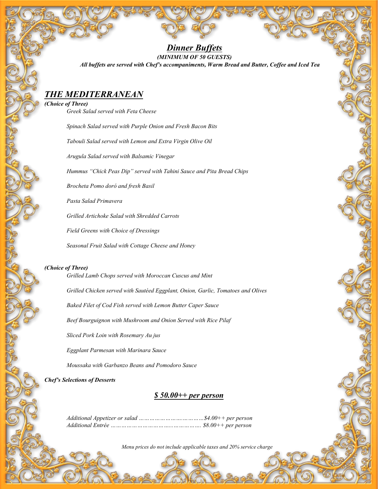#### **Dinner Buffets (MINIMUM OF 50 GUESTS) All buffets are served with Chef's accompaniments, Warm Bread and Butter, Coffee and Iced Tea**

### **THE MEDITERRANEAN**

**(Choice of Three)** Greek Salad served with Feta Cheese

Spinach Salad served with Purple Onion and Fresh Bacon Bits

Tabouli Salad served with Lemon and Extra Virgin Olive Oil

Arugula Salad served with Balsamic Vinegar

Hummus "Chick Peas Dip" served with Tahini Sauce and Pita Bread Chips

Brocheta Pomo doró and fresh Basil

Pasta Salad Primavera

Grilled Artichoke Salad with Shredded Carrots

Field Greens with Choice of Dressings

Seasonal Fruit Salad with Cottage Cheese and Honey

#### **(Choice of Three)**

Grilled Lamb Chops served with Moroccan Cuscus and Mint

Grilled Chicken served with Sautéed Eggplant, Onion, Garlic, Tomatoes and Olives

Baked Filet of Cod Fish served with Lemon Butter Caper Sauce

Beef Bourguignon with Mushroom and Onion Served with Rice Pilaf

Sliced Pork Loin with Rosemary Au jus

Eggplant Parmesan with Marinara Sauce

Moussaka with Garbanzo Beans and Pomodoro Sauce

**Chef's Selections of Desserts**

ì

### **\$ 50.00++ per person**

Additional Appetizer or salad …………………….…………\$4.00++ per person Additional Entrée ……………………………...……………. \$8.00++ per person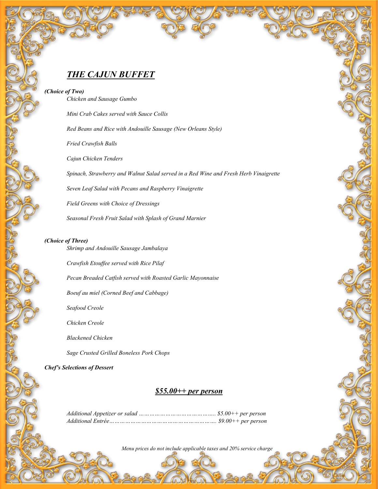### **THE CAJUN BUFFET**

**(Choice of Two)**

Chicken and Sausage Gumbo Mini Crab Cakes served with Sauce Collis Red Beans and Rice with Andouille Sausage (New Orleans Style) Fried Crawfish Balls Cajun Chicken Tenders Spinach, Strawberry and Walnut Salad served in a Red Wine and Fresh Herb Vinaigrette Seven Leaf Salad with Pecans and Raspberry Vinaigrette

Field Greens with Choice of Dressings

Seasonal Fresh Fruit Salad with Splash of Grand Marnier

#### **(Choice of Three)**

Shrimp and Andouille Sausage Jambalaya

Crawfish Etouffee served with Rice Pilaf

Pecan Breaded Catfish served with Roasted Garlic Mayonnaise

Boeuf au miel (Corned Beef and Cabbage)

Seafood Creole

Chicken Creole

Blackened Chicken

Sage Crusted Grilled Boneless Pork Chops

**Chef's Selections of Dessert**

į

#### **\$55.00++ per person**

Additional Appetizer or salad …………………………………….. \$5.00++ per person Additional Entrée……………………………………………………. \$9.00++ per person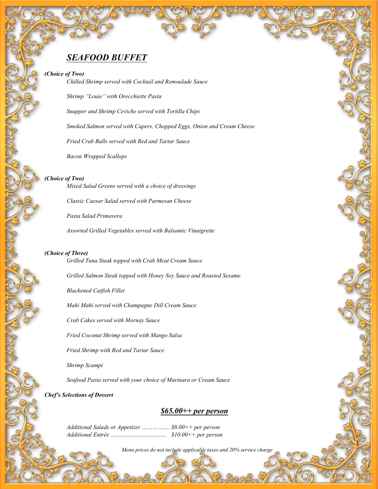### **SEAFOOD BUFFET**

#### **(Choice of Two)**

Chilled Shrimp served with Cocktail and Remoulade Sauce

Shrimp "Louie" with Orecchiette Pasta

Snapper and Shrimp Ceviche served with Tortilla Chips

Smoked Salmon served with Capers, Chopped Eggs, Onion and Cream Cheese

Fried Crab Balls served with Red and Tartar Sauce

Bacon Wrapped Scallops

#### **(Choice of Two)**

Mixed Salad Greens served with a choice of dressings

Classic Caesar Salad served with Parmesan Cheese

Pasta Salad Primavera

Assorted Grilled Vegetables served with Balsamic Vinaigrette

#### **(Choice of Three)**

Grilled Tuna Steak topped with Crab Meat Cream Sauce

Grilled Salmon Steak topped with Honey Soy Sauce and Roasted Sesame

Blackened Catfish Fillet

Mahi Mahi served with Champagne Dill Cream Sauce

Crab Cakes served with Mornay Sauce

Fried Coconut Shrimp served with Mango Salsa

Fried Shrimp with Red and Tartar Sauce

Shrimp Scampi

Seafood Pasta served with your choice of Marinara or Cream Sauce

#### **Chef's Selections of Dessert**

#### **\$65.00++ per person**

Additional Salads or Appetizer ……………. \$8.00++ per person Additional Entrée ………………………….. \$10.00++ per person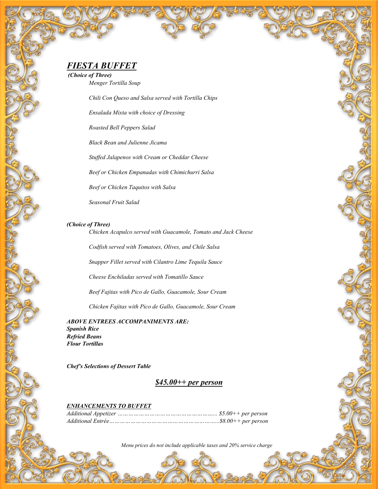**(Choice of Three)** Menger Tortilla Soup

Chili Con Queso and Salsa served with Tortilla Chips

Ensalada Mixta with choice of Dressing

Roasted Bell Peppers Salad

Black Bean and Julienne Jicama

Stuffed Jalapenos with Cream or Cheddar Cheese

Beef or Chicken Empanadas with Chimichurri Salsa

Beef or Chicken Taquitos with Salsa

Seasonal Fruit Salad

#### **(Choice of Three)**

Chicken Acapulco served with Guacamole, Tomato and Jack Cheese

Codfish served with Tomatoes, Olives, and Chile Salsa

Snapper Fillet served with Cilantro Lime Tequila Sauce

Cheese Enchiladas served with Tomatillo Sauce

Beef Fajitas with Pico de Gallo, Guacamole, Sour Cream

Chicken Fajitas with Pico de Gallo, Guacamole, Sour Cream

**ABOVE ENTREES ACCOMPANIMENTS ARE: Spanish Rice Refried Beans Flour Tortillas**

**Chef's Selections of Dessert Table**

**\$45.00++ per person**

#### **ENHANCEMENTS TO BUFFET**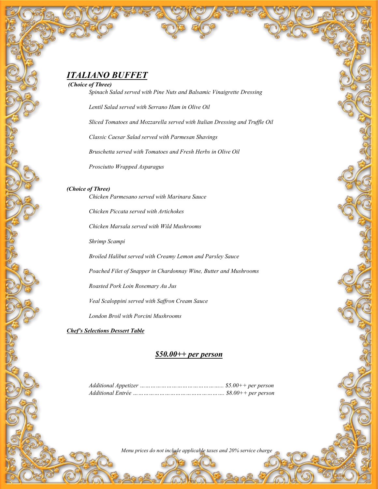**(Choice of Three)**

Spinach Salad served with Pine Nuts and Balsamic Vinaigrette Dressing

Lentil Salad served with Serrano Ham in Olive Oil

Sliced Tomatoes and Mozzarella served with Italian Dressing and Truffle Oil

Classic Caesar Salad served with Parmesan Shavings

Bruschetta served with Tomatoes and Fresh Herbs in Olive Oil

Prosciutto Wrapped Asparagus

#### **(Choice of Three)**

Chicken Parmesano served with Marinara Sauce

Chicken Piccata served with Artichokes

Chicken Marsala served with Wild Mushrooms

Shrimp Scampi

Broiled Halibut served with Creamy Lemon and Parsley Sauce

Poached Filet of Snapper in Chardonnay Wine, Butter and Mushrooms

Roasted Pork Loin Rosemary Au Jus

Veal Scaloppini served with Saffron Cream Sauce

London Broil with Porcini Mushrooms

**Chef's Selections Dessert Table**

#### **\$50.00++ per person**

Additional Appetizer ………………………………………... \$5.00++ per person Additional Entrée ……………………………………………. \$8.00++ per person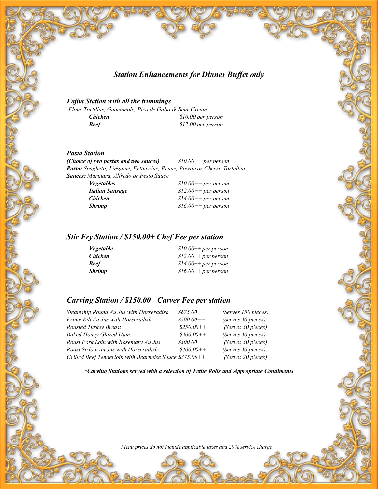**Station Enhancements for Dinner Buffet only**

#### **Fajita Station with all the trimmings**

Flour Tortillas, Guacamole, Pico de Gallo & Sour Cream **Chicken** \$10.00 per person<br>**Beef** \$12.00 per person **Beef** \$12.00 per person

#### **Pasta Station**

**(Choice of two pastas and two sauces)** \$10.00++ per person **Pasta:** Spaghetti, Linguine, Fettuccine, Penne, Bowtie or Cheese Tortellini **Sauces:** Marinara, Alfredo or Pesto Sauce

| <i>Vegetables</i> | $$10.00++$ per person |
|-------------------|-----------------------|
| Italian Sausage   | $$12.00++$ per person |
| <b>Chicken</b>    | $$14.00++$ per person |
| <b>Shrimp</b>     | $$16.00++$ per person |

### **Stir Fry Station / \$150.00+ Chef Fee per station**

| <i>Vegetable</i> | $$10.00++$ per person |
|------------------|-----------------------|
| <b>Chicken</b>   | $$12.00++$ per person |
| <b>Beef</b>      | $$14.00++$ per person |
| <b>Shrimp</b>    | $$16.00++$ per person |

### **Carving Station / \$150.00+ Carver Fee per station**

| Steamship Round Au Jus with Horseradish                  | $$675.00++$ | (Serves 150 pieces) |
|----------------------------------------------------------|-------------|---------------------|
| Prime Rib Au Jus with Horseradish                        | $$500.00++$ | (Serves 30 pieces)  |
| Roasted Turkey Breast                                    | $$250.00++$ | (Serves 30 pieces)  |
| <b>Baked Honey Glazed Ham</b>                            | $$300.00++$ | (Serves 30 pieces)  |
| Roast Pork Loin with Rosemary Au Jus                     | $$300.00++$ | (Serves 30 pieces)  |
| Roast Sirloin au Jus with Horseradish                    | $$400.00++$ | (Serves 30 pieces)  |
| Grilled Beef Tenderloin with Béarnaise Sauce $$375.00++$ |             | (Serves 20 pieces)  |

**\*Carving Stations served with a selection of Petite Rolls and Appropriate Condiments**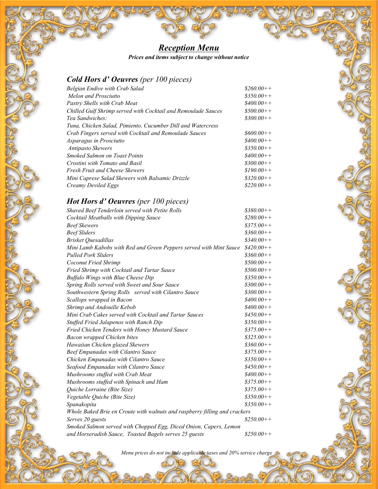## **Reception Menu**

**Prices and items subject to change without notice**

### **Cold Hors d' Oeuvres** (per 100 pieces)

| <b>Belgian Endive with Crab Salad</b>                         | $$260.00++$ |
|---------------------------------------------------------------|-------------|
| Melon and Prosciutto                                          | $$350.00++$ |
| <b>Pastry Shells with Crab Meat</b>                           | $$400.00++$ |
| Chilled Gulf Shrimp served with Cocktail and Remoulade Sauces | $$500.00++$ |
| Tea Sandwiches:                                               | $$300.00++$ |
| Tuna, Chicken Salad, Pimiento, Cucumber Dill and Watercress   |             |
| Crab Fingers served with Cocktail and Remoulade Sauces        | $$600.00++$ |
| Asparagus in Prosciutto                                       | $$400.00++$ |
| <b>Antipasto Skewers</b>                                      | $$350.00++$ |
| <b>Smoked Salmon on Toast Points</b>                          | $$400.00++$ |
| Crostini with Tomato and Basil                                | $$300.00++$ |
| <b>Fresh Fruit and Cheese Skewers</b>                         | $$190.00++$ |
| Mini Caprese Salad Skewers with Balsamic Drizzle              | $$320.00++$ |
| Creamy Deviled Eggs                                           | $$220.00++$ |
|                                                               |             |

### **Hot Hors d' Oeuvres** (per 100 pieces)

| Shaved Beef Tenderloin served with Petite Rolls                            | $$380.00++$ |
|----------------------------------------------------------------------------|-------------|
| Cocktail Meatballs with Dipping Sauce                                      | $$280.00++$ |
| <b>Beef Skewers</b>                                                        | $$375.00++$ |
| <b>Beef Sliders</b>                                                        | $$360.00++$ |
| <b>Brisket Quesadillas</b>                                                 | $$340.00++$ |
| Mini Lamb Kabobs with Red and Green Peppers served with Mint Sauce         | $$420.00++$ |
| <b>Pulled Pork Sliders</b>                                                 | $$360.00++$ |
| <b>Coconut Fried Shrimp</b>                                                | $$500.00++$ |
| Fried Shrimp with Cocktail and Tartar Sauce                                | $$500.00++$ |
| <b>Buffalo Wings with Blue Cheese Dip</b>                                  | $$350.00++$ |
| Spring Rolls served with Sweet and Sour Sauce                              | $$300.00++$ |
| Southwestern Spring Rolls served with Cilantro Sauce                       | $$300.00++$ |
| Scallops wrapped in Bacon                                                  | $$400.00++$ |
| Shrimp and Andouille Kebob                                                 | $$400.00++$ |
| Mini Crab Cakes served with Cocktail and Tartar Sauces                     | $$450.00++$ |
| Stuffed Fried Jalapenos with Ranch Dip                                     | $$350.00++$ |
| Fried Chicken Tenders with Honey Mustard Sauce                             | $$375.00++$ |
| Bacon wrapped Chicken bites                                                | $$325.00++$ |
| Hawaiian Chicken glazed Skewers                                            | $$360.00++$ |
| <b>Beef Empanadas with Cilantro Sauce</b>                                  | $$375.00++$ |
| Chicken Empanadas with Cilantro Sauce                                      | $$350.00++$ |
| Seafood Empanadas with Cilantro Sauce                                      | $$450.00++$ |
| Mushrooms stuffed with Crab Meat                                           | $$400.00++$ |
| Mushrooms stuffed with Spinach and Ham                                     | $$375.00++$ |
| Quiche Lorraine (Bite Size)                                                | $$375.00++$ |
| Vegetable Quiche (Bite Size)                                               | $$350.00++$ |
| Spanakopita                                                                | $$350.00++$ |
| Whole Baked Brie en Croute with walnuts and raspberry filling and crackers |             |
| Serves 20 guests                                                           | $$250.00++$ |
| Smoked Salmon served with Chopped Egg, Diced Onion, Capers, Lemon          |             |
| and Horseradish Sauce, Toasted Bagels serves 25 guests                     | $$250.00++$ |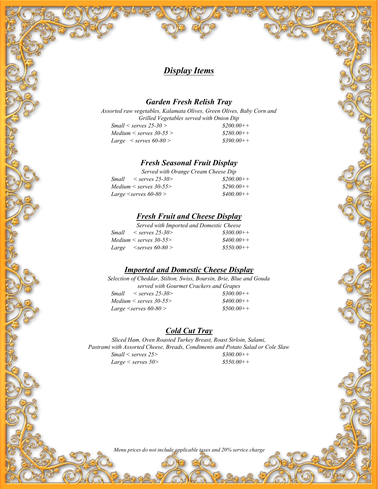### **Display Items**

#### **Garden Fresh Relish Tray**

Assorted raw vegetables, Kalamata Olives, Green Olives, Baby Corn and Grilled Vegetables served with Onion Dip<br>  $rves 25-30 > 0$  $Small <$  serves  $25-30 >$  \$200.00++<br>  $Median <$  serves  $30-55 >$  \$280.00++  $Median < servers 30-55 >$ <br>  $Large < servers 60-80 >$ <br>  $$390.00++$ Large  $\le$  serves 60-80 >

#### **Fresh Seasonal Fruit Display**

Served with Orange Cream Cheese Dip  $Small \le$  serves 25-30>  $$200.00++$ <br>  $Median \le$  serves 30-55>  $$290.00++$  $Median < servers 30-55>$   $$290.00++$ <br> $Large < servers 60-80>$   $$400.00++$ Large  $\le$ serves 60-80 >

#### **Fresh Fruit and Cheese Display**

Served with Imported and Domestic Cheese  $Small \le$  serves 25-30>  $$300.00++$ <br>  $Median \le$  serves 30-55>  $$400.00++$  $Median < servers 30-55>$ Large  $\langle$  serves 60-80 > \$550.00++

#### **Imported and Domestic Cheese Display**

Selection of Cheddar, Stilton, Swiss, Boursin, Brie, Blue and Gouda served with Gourmet Crackers and Grapes  $Small \le$  serves 25-30>  $$300.00++$ <br>  $Median \le$  serves 30-55>  $$400.00++$  $Median < servers 30-55>$  $Large \leq$ serves 60-80 >  $$500.00++$ 

#### **Cold Cut Tray**

Sliced Ham, Oven Roasted Turkey Breast, Roast Sirloin, Salami, Pastrami with Assorted Cheese, Breads, Condiments and Potato Salad or Cole Slaw<br>Small < serves  $25$ > 8300.00++  $Small <$  serves 25>  $Large \le$  serves 50>  $$550.00++$